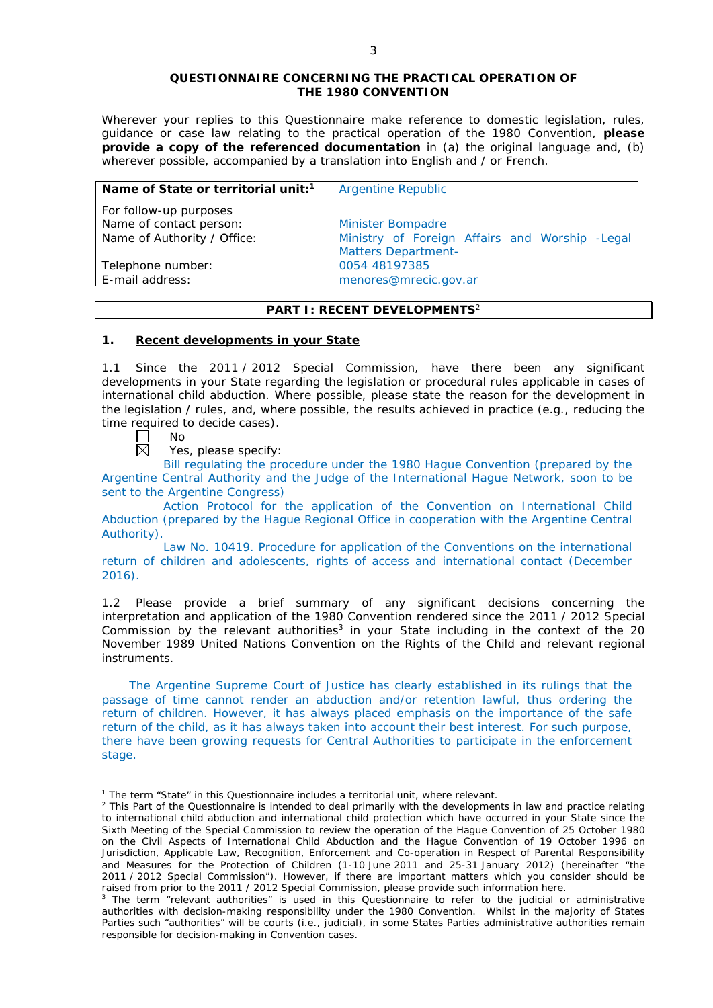### **QUESTIONNAIRE CONCERNING THE PRACTICAL OPERATION OF THE 1980 CONVENTION**

*Wherever your replies to this Questionnaire make reference to domestic legislation, rules, guidance or case law relating to the practical operation of the 1980 Convention, please provide a copy of the referenced documentation in (a) the original language and, (b) wherever possible, accompanied by a translation into English and / or French.* 

| Name of State or territorial unit: <sup>1</sup> | <b>Argentine Republic</b>                       |
|-------------------------------------------------|-------------------------------------------------|
| For follow-up purposes                          | <b>Minister Bompadre</b>                        |
| Name of contact person:                         | Ministry of Foreign Affairs and Worship - Legal |
| Name of Authority / Office:                     | <b>Matters Department-</b>                      |
| Telephone number:                               | 0054 48197385                                   |
| E-mail address:                                 | menores@mrecic.gov.ar                           |

# **PART I: RECENT DEVELOPMENTS**<sup>2</sup>

# **1. Recent developments in your State**

1.1 Since the 2011 / 2012 Special Commission, have there been any significant developments in your State regarding the legislation or procedural rules applicable in cases of international child abduction. Where possible, please state the reason for the development in the legislation / rules, and, where possible, the results achieved in practice (*e.g.*, reducing the time required to decide cases).

No 岗

<u>.</u>

Yes, please specify:

Bill regulating the procedure under the 1980 Hague Convention (prepared by the Argentine Central Authority and the Judge of the International Hague Network, soon to be sent to the Argentine Congress)

Action Protocol for the application of the Convention on International Child Abduction (prepared by the Hague Regional Office in cooperation with the Argentine Central Authority).

Law No. 10419. Procedure for application of the Conventions on the international return of children and adolescents, rights of access and international contact (December 2016).

1.2 Please provide a brief summary of any significant decisions concerning the interpretation and application of the 1980 Convention rendered since the 2011 / 2012 Special Commission by the relevant authorities<sup>3</sup> in your State including in the context of the 20 November 1989 United Nations Convention on the Rights of the Child and relevant regional instruments.

The Argentine Supreme Court of Justice has clearly established in its rulings that the passage of time cannot render an abduction and/or retention lawful, thus ordering the return of children. However, it has always placed emphasis on the importance of the safe return of the child, as it has always taken into account their best interest. For such purpose, there have been growing requests for Central Authorities to participate in the enforcement stage.

<sup>&</sup>lt;sup>1</sup> The term "State" in this Questionnaire includes a territorial unit, where relevant.

 $<sup>2</sup>$  This Part of the Questionnaire is intended to deal primarily with the developments in law and practice relating</sup> to international child abduction and international child protection which have occurred in your State since the Sixth Meeting of the Special Commission to review the operation of the *Hague Convention of 25 October 1980 on the Civil Aspects of International Child Abduction* and the *Hague Convention of 19 October 1996 on Jurisdiction, Applicable Law, Recognition, Enforcement and Co-operation in Respect of Parental Responsibility and Measures for the Protection of Children* (1-10 June 2011 and 25-31 January 2012) (hereinafter "the 2011 / 2012 Special Commission"). However, if there are important matters which you consider should be raised from *prior to* the 2011 / 2012 Special Commission, please provide such information here.

<sup>&</sup>lt;sup>3</sup> The term "relevant authorities" is used in this Questionnaire to refer to the judicial or administrative authorities with decision-making responsibility under the 1980 Convention. Whilst in the majority of States Parties such "authorities" will be courts (*i.e.*, judicial), in some States Parties administrative authorities remain responsible for decision-making in Convention cases.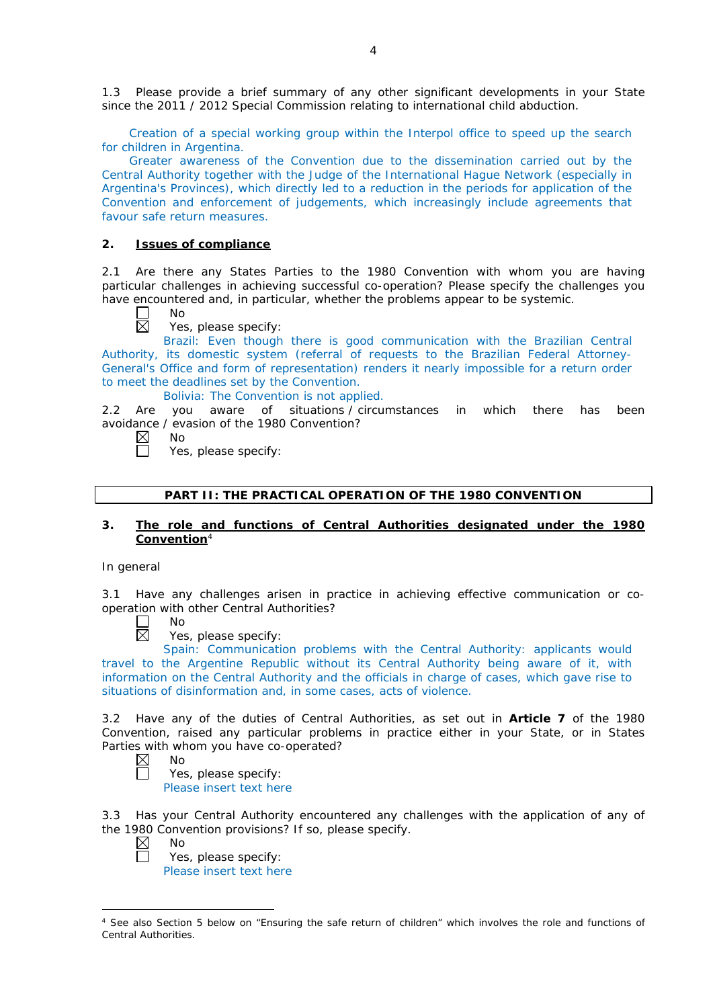1.3 Please provide a brief summary of any other significant developments in your State since the 2011 / 2012 Special Commission relating to international child abduction.

Creation of a special working group within the Interpol office to speed up the search for children in Argentina.

Greater awareness of the Convention due to the dissemination carried out by the Central Authority together with the Judge of the International Hague Network (especially in Argentina's Provinces), which directly led to a reduction in the periods for application of the Convention and enforcement of judgements, which increasingly include agreements that favour safe return measures.

## **2. Issues of compliance**

No

2.1 Are there any States Parties to the 1980 Convention with whom you are having particular challenges in achieving successful co-operation? Please specify the challenges you have encountered and, in particular, whether the problems appear to be systemic.

 $\boxtimes$ 

Yes, please specify:

Brazil: Even though there is good communication with the Brazilian Central Authority, its domestic system (referral of requests to the Brazilian Federal Attorney-General's Office and form of representation) renders it nearly impossible for a return order to meet the deadlines set by the Convention.

Bolivia: The Convention is not applied.

2.2 Are you aware of situations / circumstances in which there has been avoidance / evasion of the 1980 Convention? No

 $\boxtimes$  $\Box$ 

Yes, please specify:

## **PART II: THE PRACTICAL OPERATION OF THE 1980 CONVENTION**

# **3. The role and functions of Central Authorities designated under the 1980 Convention**<sup>4</sup>

### *In general*

3.1 Have any challenges arisen in practice in achieving effective communication or cooperation with other Central Authorities?

No  $\boxtimes$ 

Yes, please specify:

Spain: Communication problems with the Central Authority: applicants would travel to the Argentine Republic without its Central Authority being aware of it, with information on the Central Authority and the officials in charge of cases, which gave rise to situations of disinformation and, in some cases, acts of violence.

3.2 Have any of the duties of Central Authorities, as set out in **Article 7** of the 1980 Convention, raised any particular problems in practice either in your State, or in States Parties with whom you have co-operated?<br>  $\boxtimes$  No<br>
Yes, please specify:

No

Yes, please specify: Please insert text here

3.3 Has your Central Authority encountered any challenges with the application of any of the 1980 Convention provisions? If so, please specify.

 $\boxtimes$ No

-

Yes, please specify: Please insert text here

<sup>&</sup>lt;sup>4</sup> See also Section 5 below on "Ensuring the safe return of children" which involves the role and functions of Central Authorities.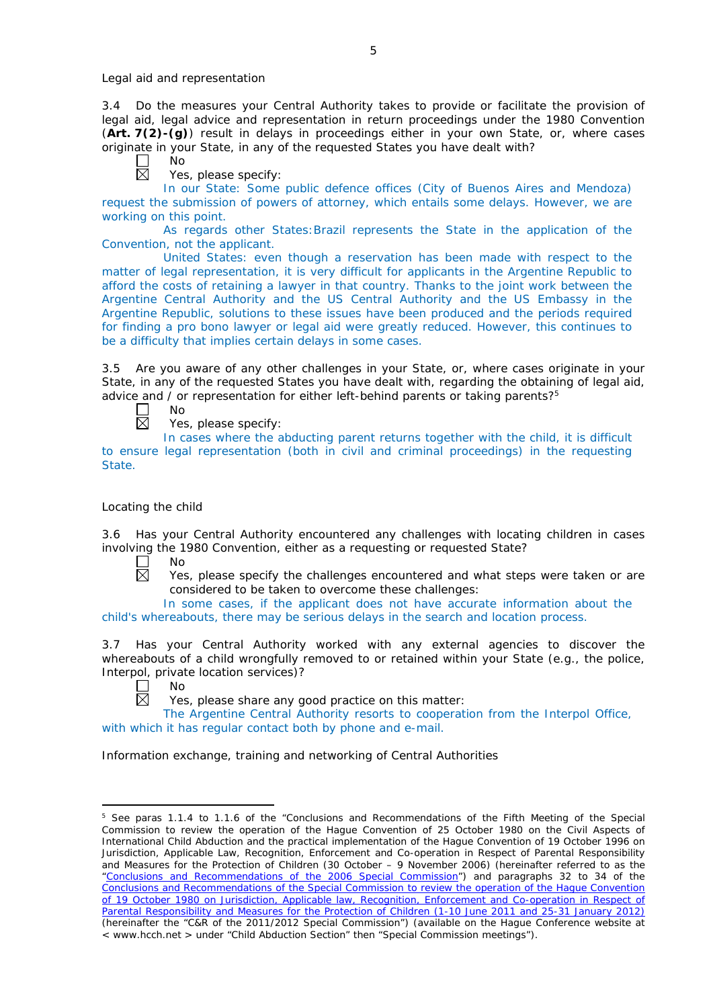*Legal aid and representation*

3.4 Do the measures your Central Authority takes to provide or facilitate the provision of legal aid, legal advice and representation in return proceedings under the 1980 Convention (**Art. 7(2)-(g)**) result in delays in proceedings either in your own State, or, where cases originate in your State, in any of the requested States you have dealt with?

No

反 Yes, please specify:

In our State: Some public defence offices (City of Buenos Aires and Mendoza) request the submission of powers of attorney, which entails some delays. However, we are working on this point.

As regards other States:Brazil represents the State in the application of the Convention, not the applicant.

United States: even though a reservation has been made with respect to the matter of legal representation, it is very difficult for applicants in the Argentine Republic to afford the costs of retaining a lawyer in that country. Thanks to the joint work between the Argentine Central Authority and the US Central Authority and the US Embassy in the Argentine Republic, solutions to these issues have been produced and the periods required for finding a pro bono lawyer or legal aid were greatly reduced. However, this continues to be a difficulty that implies certain delays in some cases.

3.5 Are you aware of any other challenges in your State, or, where cases originate in your State, in any of the requested States you have dealt with, regarding the obtaining of legal aid, advice and  $\ell$  or representation for either left-behind parents or taking parents?<sup>5</sup>

No 岗

Yes, please specify:

In cases where the abducting parent returns together with the child, it is difficult to ensure legal representation (both in civil and criminal proceedings) in the requesting State.

# *Locating the child*

3.6 Has your Central Authority encountered any challenges with locating children in cases involving the 1980 Convention, either as a requesting or requested State?

 $\Box$ No  $\boxtimes$ 

Yes, please specify the challenges encountered and what steps were taken or are considered to be taken to overcome these challenges:

In some cases, if the applicant does not have accurate information about the child's whereabouts, there may be serious delays in the search and location process.

3.7 Has your Central Authority worked with any external agencies to discover the whereabouts of a child wrongfully removed to or retained within your State (*e.g.*, the police, Interpol, private location services)?

 $\Box$ No  $\overline{\boxtimes}$ 

<u>.</u>

Yes, please share any good practice on this matter:

The Argentine Central Authority resorts to cooperation from the Interpol Office, with which it has regular contact both by phone and e-mail.

*Information exchange, training and networking of Central Authorities*

<sup>&</sup>lt;sup>5</sup> See paras 1.1.4 to 1.1.6 of the "Conclusions and Recommendations of the Fifth Meeting of the Special Commission to review the operation of the *Hague Convention of 25 October 1980 on the Civil Aspects of International Child Abduction* and the practical implementation of the *Hague Convention of 19 October 1996 on Jurisdiction, Applicable Law, Recognition, Enforcement and Co-operation in Respect of Parental Responsibility and Measures for the Protection of Children* (30 October – 9 November 2006) (hereinafter referred to as the ["Conclusions and Recommendations of the 2006 Special Commission"](https://assets.hcch.net/upload/concl28sc5_e.pdf)) and paragraphs 32 to 34 of the [Conclusions and Recommendations of the Special Commission](https://assets.hcch.net/upload/wop/concl28sc6_e.pdf) to review the operation of the Hague Convention of *[19 October 1980 on Jurisdiction, Applicable law, Recognition, Enforcement and Co-operation in Respect of](https://assets.hcch.net/upload/wop/concl28sc6_e.pdf)  [Parental Responsibility and Measures for the Protection of Children](https://assets.hcch.net/upload/wop/concl28sc6_e.pdf)* (1-10 June 2011 and 25-31 January 2012) (hereinafter the "C&R of the 2011/2012 Special Commission") (available on the Hague Conference website at < www.hcch.net > under "Child Abduction Section" then "Special Commission meetings").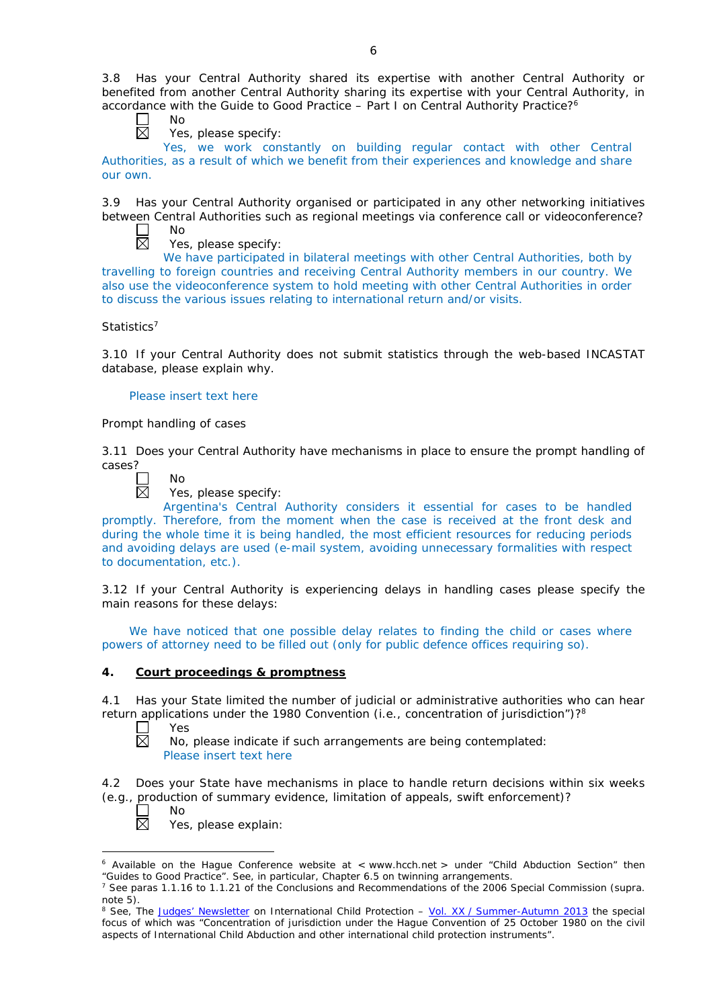3.8 Has your Central Authority shared its expertise with another Central Authority or benefited from another Central Authority sharing its expertise with your Central Authority, in accordance with the Guide to Good Practice – Part I on Central Authority Practice?6



Yes, please specify:

Yes, we work constantly on building regular contact with other Central Authorities, as a result of which we benefit from their experiences and knowledge and share our own.

3.9 Has your Central Authority organised or participated in any other networking initiatives between Central Authorities such as regional meetings via conference call or videoconference? No

Yes, please specify:

We have participated in bilateral meetings with other Central Authorities, both by travelling to foreign countries and receiving Central Authority members in our country. We also use the videoconference system to hold meeting with other Central Authorities in order to discuss the various issues relating to international return and/or visits.

# *Statistics*<sup>7</sup>

3.10 If your Central Authority does not submit statistics through the web-based INCASTAT database, please explain why.

## Please insert text here

# *Prompt handling of cases*

No

3.11 Does your Central Authority have mechanisms in place to ensure the prompt handling of cases?



Yes, please specify:

Argentina's Central Authority considers it essential for cases to be handled promptly. Therefore, from the moment when the case is received at the front desk and during the whole time it is being handled, the most efficient resources for reducing periods and avoiding delays are used (e-mail system, avoiding unnecessary formalities with respect to documentation, etc.).

3.12 If your Central Authority is experiencing delays in handling cases please specify the main reasons for these delays:

We have noticed that one possible delay relates to finding the child or cases where powers of attorney need to be filled out (only for public defence offices requiring so).

# **4. Court proceedings & promptness**

4.1 Has your State limited the number of judicial or administrative authorities who can hear return applications under the 1980 Convention (*i.e.*, concentration of jurisdiction")?8

 $\Box$ Yes  $\overline{\boxtimes}$ 

No, please indicate if such arrangements are being contemplated: Please insert text here

4.2 Does your State have mechanisms in place to handle return decisions within six weeks (*e.g.*, production of summary evidence, limitation of appeals, swift enforcement)?

 $\mathsf{L}$  $\boxtimes$ 

<u>.</u>

No

Yes, please explain:

 $6$  Available on the Hague Conference website at  $\lt$  www.hcch.net  $>$  under "Child Abduction Section" then "Guides to Good Practice". See, in particular, Chapter 6.5 on twinning arrangements.

<sup>7</sup> See paras 1.1.16 to 1.1.21 of the Conclusions and Recommendations of the 2006 Special Commission (*supra.*  note 5).

<sup>8</sup> See, *The [Judges' Newsletter](https://www.hcch.net/en/instruments/conventions/publications2/judges-newsletter)* on International Child Protection – Vol. XX / [Summer-Autumn 2013](https://assets.hcch.net/upload/newsletter/nl2013tome20en.pdf) the special focus of which was "Concentration of jurisdiction under the *Hague Convention of 25 October 1980 on the civil aspects of International Child Abduction* and other international child protection instruments".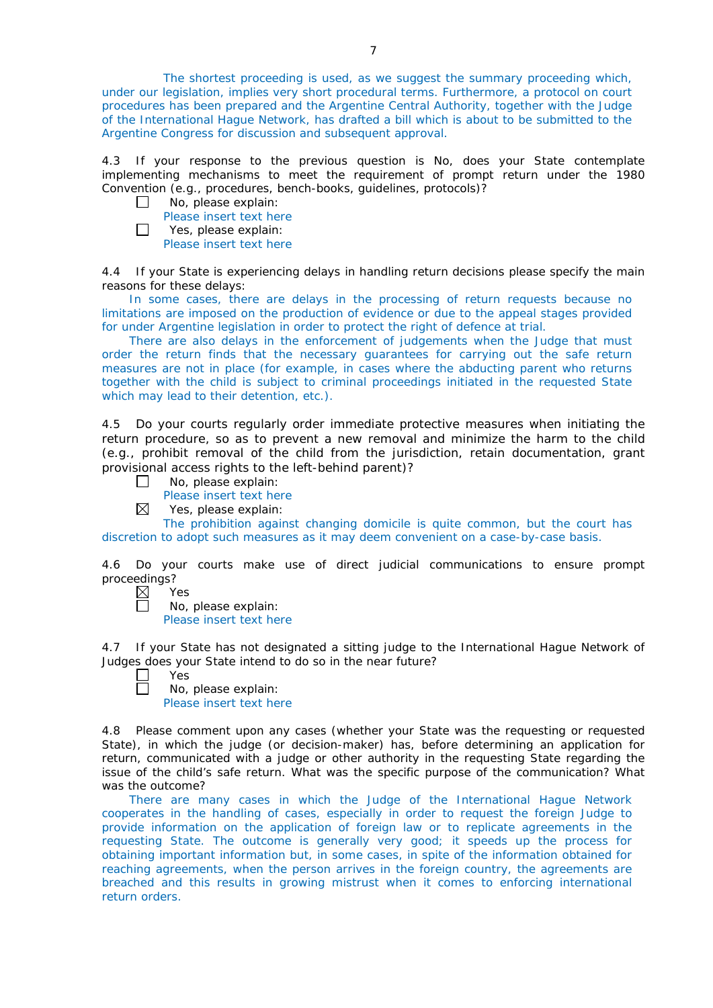The shortest proceeding is used, as we suggest the summary proceeding which, under our legislation, implies very short procedural terms. Furthermore, a protocol on court procedures has been prepared and the Argentine Central Authority, together with the Judge of the International Hague Network, has drafted a bill which is about to be submitted to the Argentine Congress for discussion and subsequent approval.

4.3 If your response to the previous question is No, does your State contemplate implementing mechanisms to meet the requirement of prompt return under the 1980 Convention (*e.g.*, procedures, bench-books, guidelines, protocols)?

| $\mathsf{L}$ | No, please explain:     |
|--------------|-------------------------|
|              | Please insert text here |
| $\Box$       | Yes, please explain:    |
|              | Please insert text here |

4.4 If your State is experiencing delays in handling return decisions please specify the main reasons for these delays:

In some cases, there are delays in the processing of return requests because no limitations are imposed on the production of evidence or due to the appeal stages provided for under Argentine legislation in order to protect the right of defence at trial.

There are also delays in the enforcement of judgements when the Judge that must order the return finds that the necessary guarantees for carrying out the safe return measures are not in place (for example, in cases where the abducting parent who returns together with the child is subject to criminal proceedings initiated in the requested State which may lead to their detention, etc.).

4.5 Do your courts regularly order immediate protective measures when initiating the return procedure, so as to prevent a new removal and minimize the harm to the child (*e.g.*, prohibit removal of the child from the jurisdiction, retain documentation, grant provisional access rights to the left-behind parent)?

- No, please explain:  $\Box$ 
	- Please insert text here
- $\boxtimes$ Yes, please explain:

The prohibition against changing domicile is quite common, but the court has discretion to adopt such measures as it may deem convenient on a case-by-case basis.

4.6 Do your courts make use of direct judicial communications to ensure prompt proceedings?

| $\boxtimes$ | Y.<br>ρς |
|-------------|----------|
|             |          |

No, please explain: Please insert text here

4.7 If your State has not designated a sitting judge to the International Hague Network of Judges does your State intend to do so in the near future?

| ۰.<br>×<br>× |
|--------------|
|              |

 $\Box$ 

No, please explain: Please insert text here

4.8 Please comment upon any cases (whether your State was the requesting or requested State), in which the judge (or decision-maker) has, before determining an application for return, communicated with a judge or other authority in the requesting State regarding the issue of the child's safe return. What was the specific purpose of the communication? What was the outcome?

There are many cases in which the Judge of the International Hague Network cooperates in the handling of cases, especially in order to request the foreign Judge to provide information on the application of foreign law or to replicate agreements in the requesting State. The outcome is generally very good; it speeds up the process for obtaining important information but, in some cases, in spite of the information obtained for reaching agreements, when the person arrives in the foreign country, the agreements are breached and this results in growing mistrust when it comes to enforcing international return orders.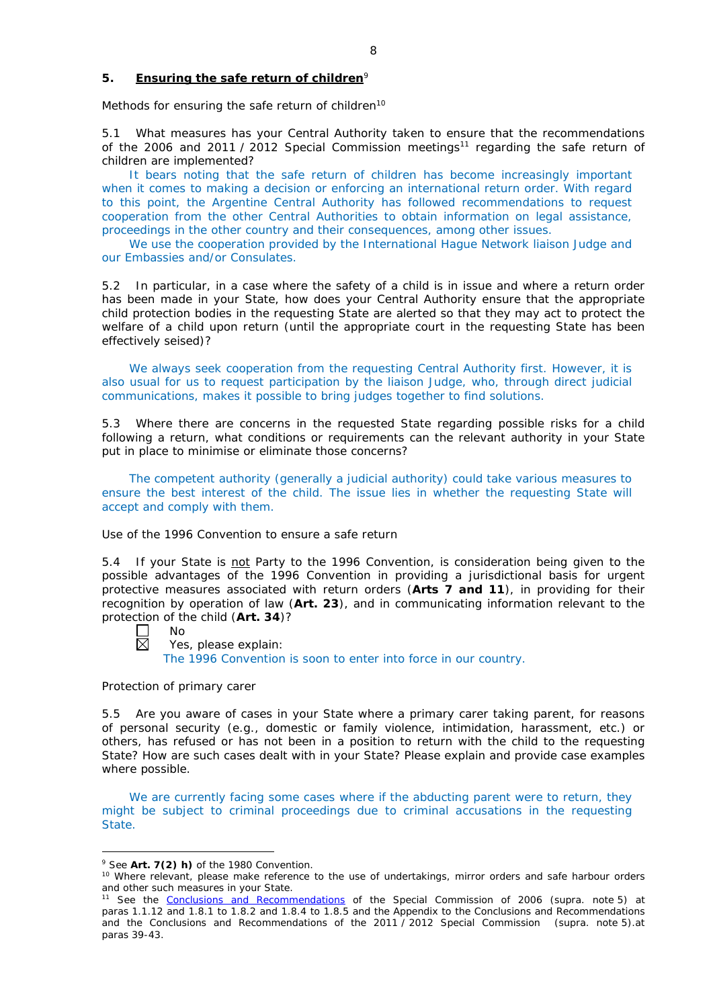# **5. Ensuring the safe return of children**<sup>9</sup>

*Methods for ensuring the safe return of children*<sup>10</sup>

5.1 What measures has your Central Authority taken to ensure that the recommendations of the 2006 and 2011 / 2012 Special Commission meetings<sup>11</sup> regarding the safe return of children are implemented?

It bears noting that the safe return of children has become increasingly important when it comes to making a decision or enforcing an international return order. With regard to this point, the Argentine Central Authority has followed recommendations to request cooperation from the other Central Authorities to obtain information on legal assistance, proceedings in the other country and their consequences, among other issues.

We use the cooperation provided by the International Hague Network liaison Judge and our Embassies and/or Consulates.

5.2 In particular, in a case where the safety of a child is in issue and where a return order has been made in your State, how does your Central Authority ensure that the appropriate child protection bodies in the *requesting* State are alerted so that they may act to protect the welfare of a child upon return (until the appropriate court in the requesting State has been effectively seised)?

We always seek cooperation from the requesting Central Authority first. However, it is also usual for us to request participation by the liaison Judge, who, through direct judicial communications, makes it possible to bring judges together to find solutions.

5.3 Where there are concerns in the requested State regarding possible risks for a child following a return, what conditions or requirements can the relevant authority in your State put in place to minimise or eliminate those concerns?

The competent authority (generally a judicial authority) could take various measures to ensure the best interest of the child. The issue lies in whether the requesting State will accept and comply with them.

### *Use of the 1996 Convention to ensure a safe return*

5.4 If your State is not Party to the 1996 Convention, is consideration being given to the possible advantages of the 1996 Convention in providing a jurisdictional basis for urgent protective measures associated with return orders (**Arts 7 and 11**), in providing for their recognition by operation of law (**Art. 23**), and in communicating information relevant to the protection of the child (**Art. 34**)?

No  $\boxtimes$ 

<u>.</u>

Yes, please explain:

The 1996 Convention is soon to enter into force in our country.

### *Protection of primary carer*

5.5 Are you aware of cases in your State where a primary carer taking parent, for reasons of personal security (*e.g.*, domestic or family violence, intimidation, harassment, etc.) or others, has refused or has not been in a position to return with the child to the requesting State? How are such cases dealt with in your State? Please explain and provide case examples where possible.

We are currently facing some cases where if the abducting parent were to return, they might be subject to criminal proceedings due to criminal accusations in the requesting State.

<sup>9</sup> See **Art. 7(2)** *h)* of the 1980 Convention.

<sup>10</sup> Where relevant, please make reference to the use of undertakings, mirror orders and safe harbour orders and other such measures in your State.

<sup>11</sup> See the [Conclusions and Recommendations](https://assets.hcch.net/upload/concl28sc5_e.pdf) of the Special Commission of 2006 (*supra.* note 5) at paras 1.1.12 and 1.8.1 to 1.8.2 and 1.8.4 to 1.8.5 and the Appendix to the Conclusions and Recommendations and the [Conclusions and Recommendations of the 2011](https://assets.hcch.net/upload/wop/concl28sc6_e.pdf) / 2012 Special Commission (*supra.* note 5).at paras 39-43.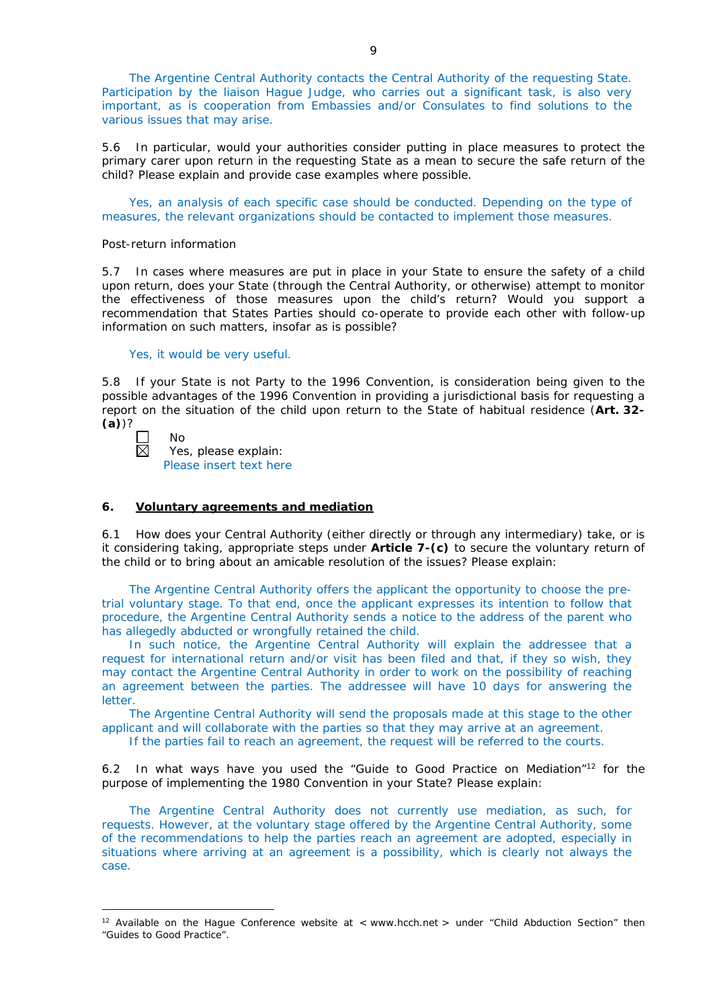The Argentine Central Authority contacts the Central Authority of the requesting State. Participation by the liaison Hague Judge, who carries out a significant task, is also very important, as is cooperation from Embassies and/or Consulates to find solutions to the various issues that may arise.

5.6 In particular, would your authorities consider putting in place measures to protect the primary carer upon return in the requesting State as a mean to secure the safe return of the child? Please explain and provide case examples where possible.

Yes, an analysis of each specific case should be conducted. Depending on the type of measures, the relevant organizations should be contacted to implement those measures.

#### *Post-return information*

5.7 In cases where measures are put in place in your State to ensure the safety of a child upon return, does your State (through the Central Authority, or otherwise) attempt to monitor the effectiveness of those measures upon the child's return? Would you support a recommendation that States Parties should co-operate to provide each other with follow-up information on such matters, insofar as is possible?

Yes, it would be very useful.

5.8 If your State is not Party to the 1996 Convention, is consideration being given to the possible advantages of the 1996 Convention in providing a jurisdictional basis for requesting a report on the situation of the child upon return to the State of habitual residence (**Art. 32- (a)**)?

-

No

Yes, please explain: Please insert text here

#### **6. Voluntary agreements and mediation**

6.1 How does your Central Authority (either directly or through any intermediary) take, or is it considering taking, appropriate steps under **Article 7-(c)** to secure the voluntary return of the child or to bring about an amicable resolution of the issues? Please explain:

The Argentine Central Authority offers the applicant the opportunity to choose the pretrial voluntary stage. To that end, once the applicant expresses its intention to follow that procedure, the Argentine Central Authority sends a notice to the address of the parent who has allegedly abducted or wrongfully retained the child.

In such notice, the Argentine Central Authority will explain the addressee that a request for international return and/or visit has been filed and that, if they so wish, they may contact the Argentine Central Authority in order to work on the possibility of reaching an agreement between the parties. The addressee will have 10 days for answering the letter.

The Argentine Central Authority will send the proposals made at this stage to the other applicant and will collaborate with the parties so that they may arrive at an agreement.

If the parties fail to reach an agreement, the request will be referred to the courts.

6.2 In what ways have you used the "Guide to Good Practice on Mediation"12 for the purpose of implementing the 1980 Convention in your State? Please explain:

The Argentine Central Authority does not currently use mediation, as such, for requests. However, at the voluntary stage offered by the Argentine Central Authority, some of the recommendations to help the parties reach an agreement are adopted, especially in situations where arriving at an agreement is a possibility, which is clearly not always the case.

<sup>&</sup>lt;sup>12</sup> Available on the Hague Conference website at < www.hcch.net > under "Child Abduction Section" then "Guides to Good Practice".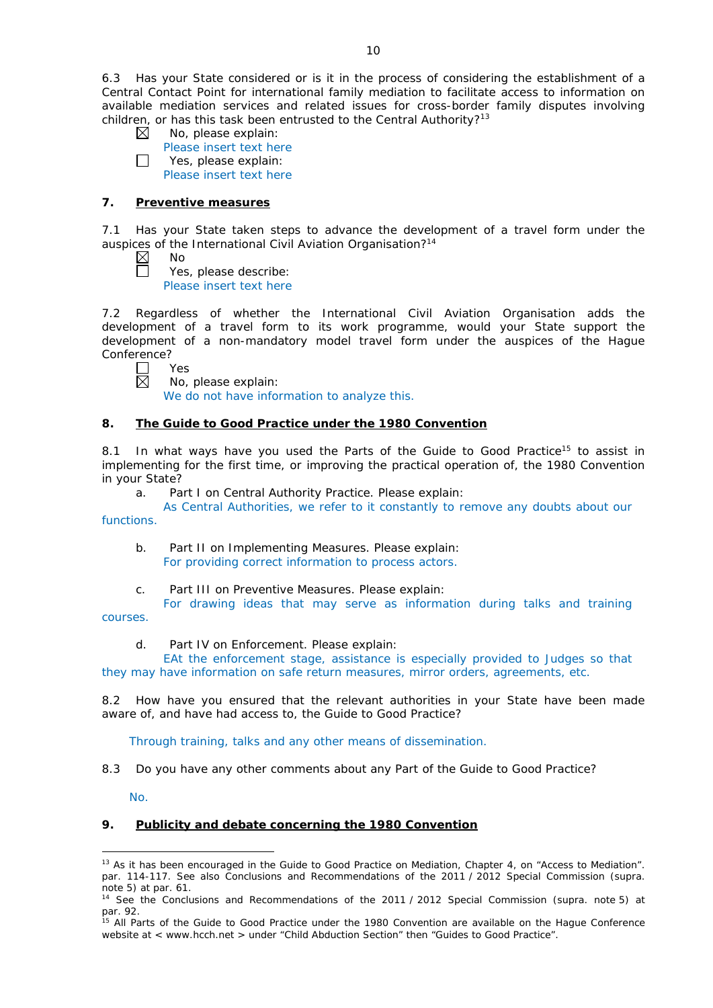6.3 Has your State considered or is it in the process of considering the establishment of a Central Contact Point for international family mediation to facilitate access to information on available mediation services and related issues for cross-border family disputes involving children, or has this task been entrusted to the Central Authority?<sup>13</sup>

- $\boxtimes$ No, please explain:
- Please insert text here  $\Box$ Yes, please explain: Please insert text here

# **7. Preventive measures**

7.1 Has your State taken steps to advance the development of a travel form under the auspices of the International Civil Aviation Organisation?<sup>14</sup>

No Yes, please describe: Please insert text here

7.2 Regardless of whether the International Civil Aviation Organisation adds the development of a travel form to its work programme, would your State support the development of a non-mandatory model travel form under the auspices of the Hague Conference?

 $\Box$ Yes 反

No, please explain:

We do not have information to analyze this.

# **8. The Guide to Good Practice under the 1980 Convention**

8.1 In what ways have you used the Parts of the Guide to Good Practice<sup>15</sup> to assist in implementing for the first time, or improving the practical operation of, the 1980 Convention in your State?

a. Part I on Central Authority Practice. Please explain:

As Central Authorities, we refer to it constantly to remove any doubts about our functions.

- b. Part II on Implementing Measures. Please explain: For providing correct information to process actors.
- c. Part III on Preventive Measures. Please explain:

For drawing ideas that may serve as information during talks and training courses.

d. Part IV on Enforcement. Please explain:

EAt the enforcement stage, assistance is especially provided to Judges so that they may have information on safe return measures, mirror orders, agreements, etc.

8.2 How have you ensured that the relevant authorities in your State have been made aware of, and have had access to, the Guide to Good Practice?

Through training, talks and any other means of dissemination.

8.3 Do you have any other comments about any Part of the Guide to Good Practice?

No.

# **9. Publicity and debate concerning the 1980 Convention**

<sup>&</sup>lt;u>.</u> <sup>13</sup> As it has been encouraged in the Guide to Good Practice on Mediation, Chapter 4, on "Access to Mediation". par. 114-117. See also [Conclusions and Recommendations of the 2011](https://assets.hcch.net/upload/wop/concl28sc6_e.pdf) / 2012 Special Commission (*supra.* .<br>note 5) at par. 61.

<sup>14</sup> See the [Conclusions and Recommendations of the 2011](https://assets.hcch.net/upload/wop/concl28sc6_e.pdf) / 2012 Special Commission (*supra.* note 5) at par. 92.

<sup>&</sup>lt;sup>15</sup> All Parts of the Guide to Good Practice under the 1980 Convention are available on the Hague Conference website at < www.hcch.net > under "Child Abduction Section" then "Guides to Good Practice".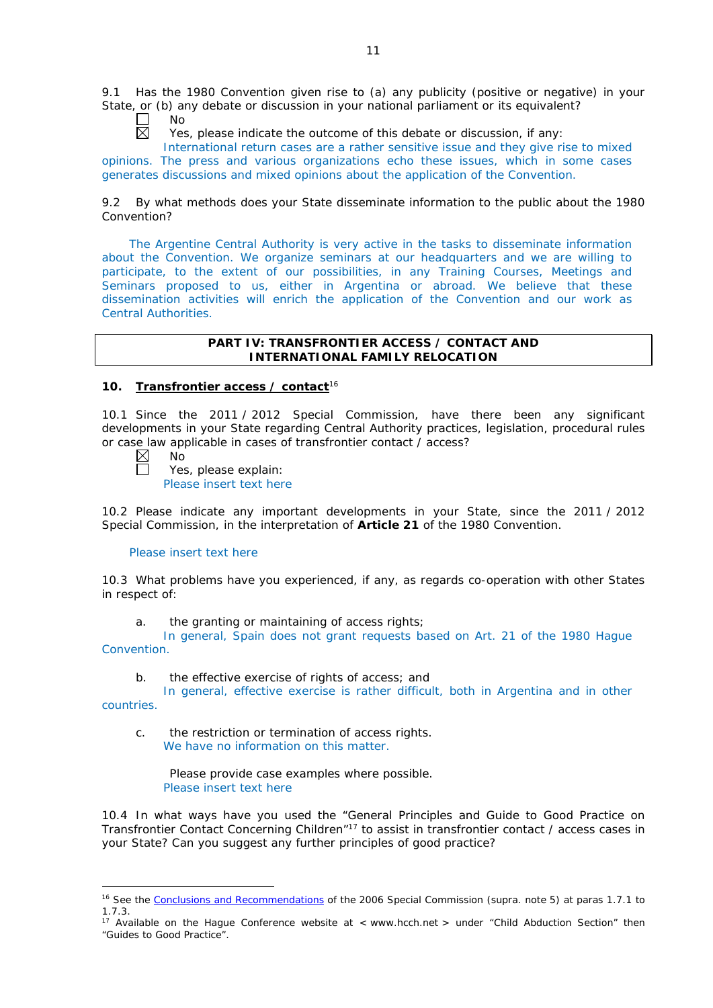9.1 Has the 1980 Convention given rise to (a) any publicity (positive or negative) in your State, or (b) any debate or discussion in your national parliament or its equivalent?

П No 反

Yes, please indicate the outcome of this debate or discussion, if any:

International return cases are a rather sensitive issue and they give rise to mixed opinions. The press and various organizations echo these issues, which in some cases generates discussions and mixed opinions about the application of the Convention.

9.2 By what methods does your State disseminate information to the public about the 1980 Convention?

The Argentine Central Authority is very active in the tasks to disseminate information about the Convention. We organize seminars at our headquarters and we are willing to participate, to the extent of our possibilities, in any Training Courses, Meetings and Seminars proposed to us, either in Argentina or abroad. We believe that these dissemination activities will enrich the application of the Convention and our work as Central Authorities.

## **PART IV: TRANSFRONTIER ACCESS / CONTACT AND INTERNATIONAL FAMILY RELOCATION**

# **10. Transfrontier access / contact**<sup>16</sup>

10.1 Since the 2011 / 2012 Special Commission, have there been any significant developments in your State regarding Central Authority practices, legislation, procedural rules or case law applicable in cases of transfrontier contact / access?

 $\boxtimes$ No Ħ

Yes, please explain: Please insert text here

10.2 Please indicate any important developments in your State, since the 2011 / 2012 Special Commission, in the interpretation of **Article 21** of the 1980 Convention.

### Please insert text here

10.3 What problems have you experienced, if any, as regards co-operation with other States in respect of:

a. the granting or maintaining of access rights;

In general, Spain does not grant requests based on Art. 21 of the 1980 Hague Convention.

b. the effective exercise of rights of access; and

In general, effective exercise is rather difficult, both in Argentina and in other countries.

-

c. the restriction or termination of access rights. We have no information on this matter.

Please provide case examples where possible. Please insert text here

10.4 In what ways have you used the "General Principles and Guide to Good Practice on Transfrontier Contact Concerning Children"17 to assist in transfrontier contact / access cases in your State? Can you suggest any further principles of good practice?

<sup>&</sup>lt;sup>16</sup> See the [Conclusions and Recommendations](https://assets.hcch.net/upload/concl28sc5_e.pdf)</u> of the 2006 Special Commission (*supra.* note 5) at paras 1.7.1 to 1.7.3.

<sup>&</sup>lt;sup>17</sup> Available on the Hague Conference website at < www.hcch.net > under "Child Abduction Section" then "Guides to Good Practice".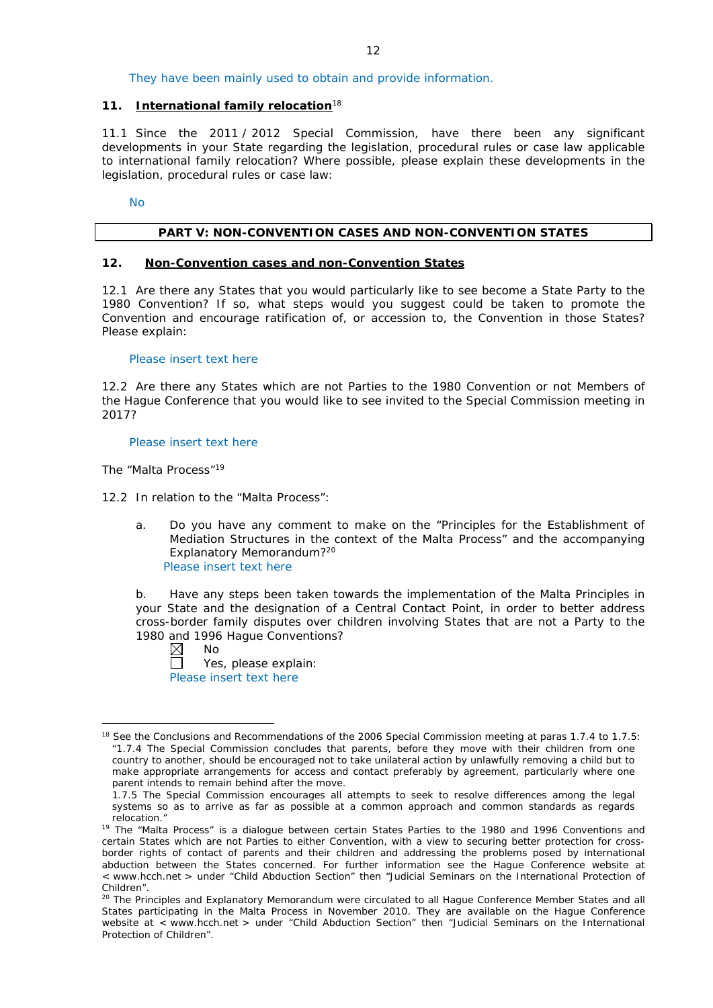They have been mainly used to obtain and provide information.

## **11. International family relocation**<sup>18</sup>

11.1 Since the 2011 / 2012 Special Commission, have there been any significant developments in your State regarding the legislation, procedural rules or case law applicable to international family relocation? Where possible, please explain these developments in the legislation, procedural rules or case law:

No

## **PART V: NON-CONVENTION CASES AND NON-CONVENTION STATES**

### **12. Non-Convention cases and non-Convention States**

12.1 Are there any States that you would particularly like to see become a State Party to the 1980 Convention? If so, what steps would you suggest could be taken to promote the Convention and encourage ratification of, or accession to, the Convention in those States? Please explain:

Please insert text here

12.2 Are there any States which are not Parties to the 1980 Convention or not Members of the Hague Conference that you would like to see invited to the Special Commission meeting in 2017?

### Please insert text here

*The "Malta Process"*<sup>19</sup>

12.2 In relation to the "Malta Process":

a. Do you have any comment to make on the "Principles for the Establishment of Mediation Structures in the context of the Malta Process" and the accompanying Explanatory Memorandum?20 Please insert text here

b. Have any steps been taken towards the implementation of the Malta Principles in your State and the designation of a Central Contact Point, in order to better address cross-border family disputes over children involving States that are not a Party to the 1980 and 1996 Hague Conventions?

 $\boxtimes$ No

-

 $\Box$ Yes, please explain: Please insert text here

<sup>&</sup>lt;sup>18</sup> See the Conclusions and Recommendations of the 2006 Special Commission meeting at paras 1.7.4 to 1.7.5: *"*1.7.4 The Special Commission concludes that parents, before they move with their children from one country to another, should be encouraged not to take unilateral action by unlawfully removing a child but to make appropriate arrangements for access and contact preferably by agreement, particularly where one parent intends to remain behind after the move.

<sup>1.7.5</sup> The Special Commission encourages all attempts to seek to resolve differences among the legal systems so as to arrive as far as possible at a common approach and common standards as regards relocation."

<sup>&</sup>lt;sup>19</sup> The "Malta Process" is a dialogue between certain States Parties to the 1980 and 1996 Conventions and certain States which are not Parties to either Convention, with a view to securing better protection for crossborder rights of contact of parents and their children and addressing the problems posed by international abduction between the States concerned. For further information see the Hague Conference website at < www.hcch.net > under "Child Abduction Section" then "Judicial Seminars on the International Protection of Children".

<sup>20</sup> The Principles and Explanatory Memorandum were circulated to all Hague Conference Member States and all States participating in the Malta Process in November 2010. They are available on the Hague Conference website at < www.hcch.net > under "Child Abduction Section" then "Judicial Seminars on the International Protection of Children".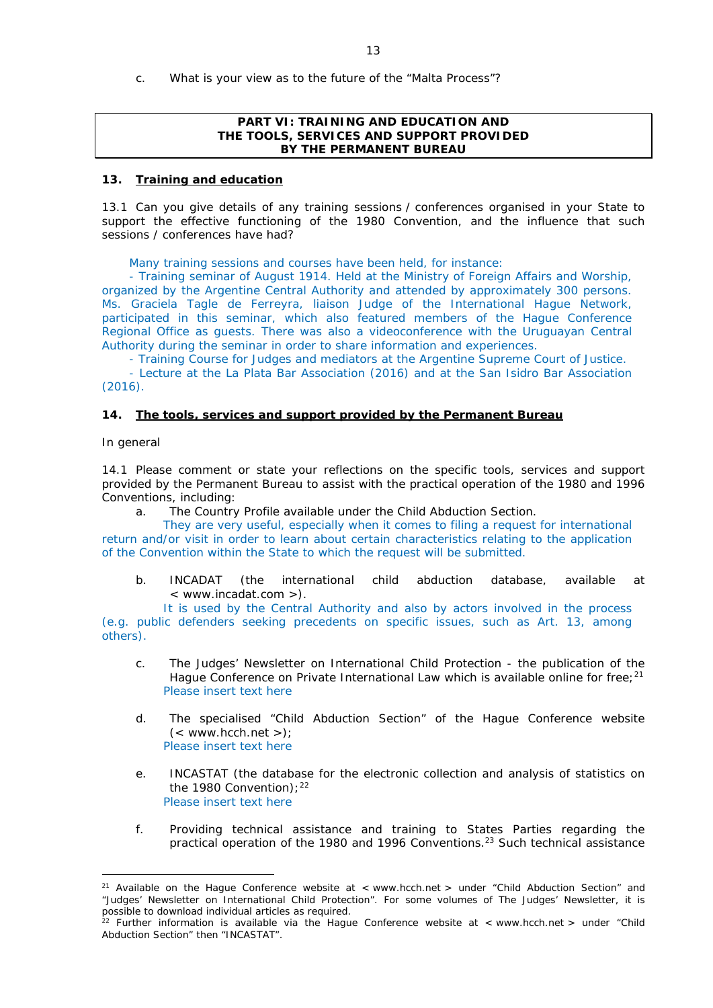- 13
- c. What is your view as to the future of the "Malta Process"?

## **PART VI: TRAINING AND EDUCATION AND THE TOOLS, SERVICES AND SUPPORT PROVIDED BY THE PERMANENT BUREAU**

## **13. Training and education**

13.1 Can you give details of any training sessions / conferences organised in your State to support the effective functioning of the 1980 Convention, and the influence that such sessions / conferences have had?

Many training sessions and courses have been held, for instance:

- Training seminar of August 1914. Held at the Ministry of Foreign Affairs and Worship, organized by the Argentine Central Authority and attended by approximately 300 persons. Ms. Graciela Tagle de Ferreyra, liaison Judge of the International Hague Network, participated in this seminar, which also featured members of the Hague Conference Regional Office as guests. There was also a videoconference with the Uruguayan Central Authority during the seminar in order to share information and experiences.

- Training Course for Judges and mediators at the Argentine Supreme Court of Justice.

- Lecture at the La Plata Bar Association (2016) and at the San Isidro Bar Association (2016).

## **14. The tools, services and support provided by the Permanent Bureau**

### *In general*

-

14.1 Please comment or state your reflections on the specific tools, services and support provided by the Permanent Bureau to assist with the practical operation of the 1980 and 1996 Conventions, including:

a. The Country Profile available under the Child Abduction Section.

They are very useful, especially when it comes to filing a request for international return and/or visit in order to learn about certain characteristics relating to the application of the Convention within the State to which the request will be submitted.

b. INCADAT (the international child abduction database, available at < www.incadat.com >).

It is used by the Central Authority and also by actors involved in the process (e.g. public defenders seeking precedents on specific issues, such as Art. 13, among others).

- c. *The Judges' Newsletter* on International Child Protection the publication of the Hague Conference on Private International Law which is available online for free;<sup>21</sup> Please insert text here
- d. The specialised "Child Abduction Section" of the Hague Conference website  $(<$  www.hcch.net >): Please insert text here
- e. INCASTAT (the database for the electronic collection and analysis of statistics on the 1980 Convention):  $22$ Please insert text here
- f. Providing technical assistance and training to States Parties regarding the practical operation of the 1980 and 1996 Conventions.23 Such technical assistance

<sup>&</sup>lt;sup>21</sup> Available on the Hague Conference website at  $\lt$  www.hcch.net  $\gt$  under "Child Abduction Section" and "Judges' Newsletter on International Child Protection". For some volumes of *The Judges' Newsletter*, it is possible to download individual articles as required.

<sup>&</sup>lt;sup>22</sup> Further information is available via the Hague Conference website at  $\lt$  www.hcch.net  $>$  under "Child Abduction Section" then "INCASTAT".